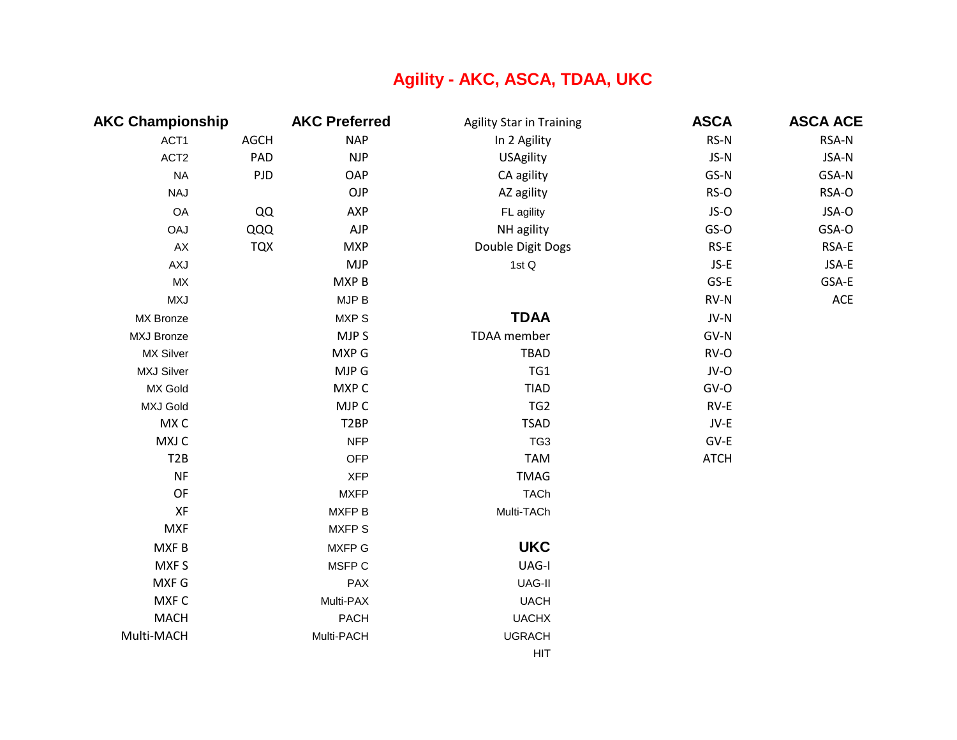## **Agility - AKC, ASCA, TDAA, UKC**

| <b>AKC Championship</b> |             | <b>AKC Preferred</b> | <b>Agility Star in Training</b> | <b>ASCA</b> | <b>ASCA ACE</b> |
|-------------------------|-------------|----------------------|---------------------------------|-------------|-----------------|
| ACT1                    | <b>AGCH</b> | <b>NAP</b>           | In 2 Agility                    | RS-N        | RSA-N           |
| ACT <sub>2</sub>        | PAD         | <b>NJP</b>           | USAgility                       | JS-N        | JSA-N           |
| <b>NA</b>               | PJD         | OAP                  | CA agility                      | GS-N        | GSA-N           |
| <b>NAJ</b>              |             | OJP                  | AZ agility                      | RS-O        | RSA-O           |
| OA                      | QQ          | AXP                  | FL agility                      | JS-O        | JSA-O           |
| <b>OAJ</b>              | QQQ         | <b>AJP</b>           | NH agility                      | GS-O        | GSA-O           |
| AX                      | <b>TQX</b>  | <b>MXP</b>           | Double Digit Dogs               | RS-E        | RSA-E           |
| AXJ                     |             | <b>MJP</b>           | 1st Q                           | $JS-E$      | JSA-E           |
| <b>MX</b>               |             | MXP B                |                                 | GS-E        | GSA-E           |
| <b>MXJ</b>              |             | MJP B                |                                 | RV-N        | $\mathsf{ACE}$  |
| MX Bronze               |             | MXP S                | <b>TDAA</b>                     | JV-N        |                 |
| <b>MXJ Bronze</b>       |             | MJP S                | TDAA member                     | GV-N        |                 |
| <b>MX Silver</b>        |             | MXP G                | <b>TBAD</b>                     | RV-O        |                 |
| <b>MXJ Silver</b>       |             | MJP G                | TG1                             | JV-O        |                 |
| MX Gold                 |             | MXP C                | <b>TIAD</b>                     | $GV-O$      |                 |
| <b>MXJ Gold</b>         |             | MJP C                | TG <sub>2</sub>                 | $RV-E$      |                 |
| MX C                    |             | T <sub>2</sub> BP    | <b>TSAD</b>                     | JV-E        |                 |
| MXJ C                   |             | <b>NFP</b>           | TG <sub>3</sub>                 | GV-E        |                 |
| T <sub>2</sub> B        |             | <b>OFP</b>           | <b>TAM</b>                      | <b>ATCH</b> |                 |
| <b>NF</b>               |             | <b>XFP</b>           | <b>TMAG</b>                     |             |                 |
| OF                      |             | <b>MXFP</b>          | <b>TACh</b>                     |             |                 |
| XF                      |             | MXFP B               | Multi-TACh                      |             |                 |
| <b>MXF</b>              |             | <b>MXFPS</b>         |                                 |             |                 |
| MXF B                   |             | MXFP G               | <b>UKC</b>                      |             |                 |
| MXF S                   |             | MSFP C               | UAG-I                           |             |                 |
| MXF G                   |             | PAX                  | UAG-II                          |             |                 |
| MXF C                   |             | Multi-PAX            | <b>UACH</b>                     |             |                 |
| <b>MACH</b>             |             | <b>PACH</b>          | <b>UACHX</b>                    |             |                 |
| Multi-MACH              |             | Multi-PACH           | <b>UGRACH</b>                   |             |                 |
|                         |             |                      | <b>HIT</b>                      |             |                 |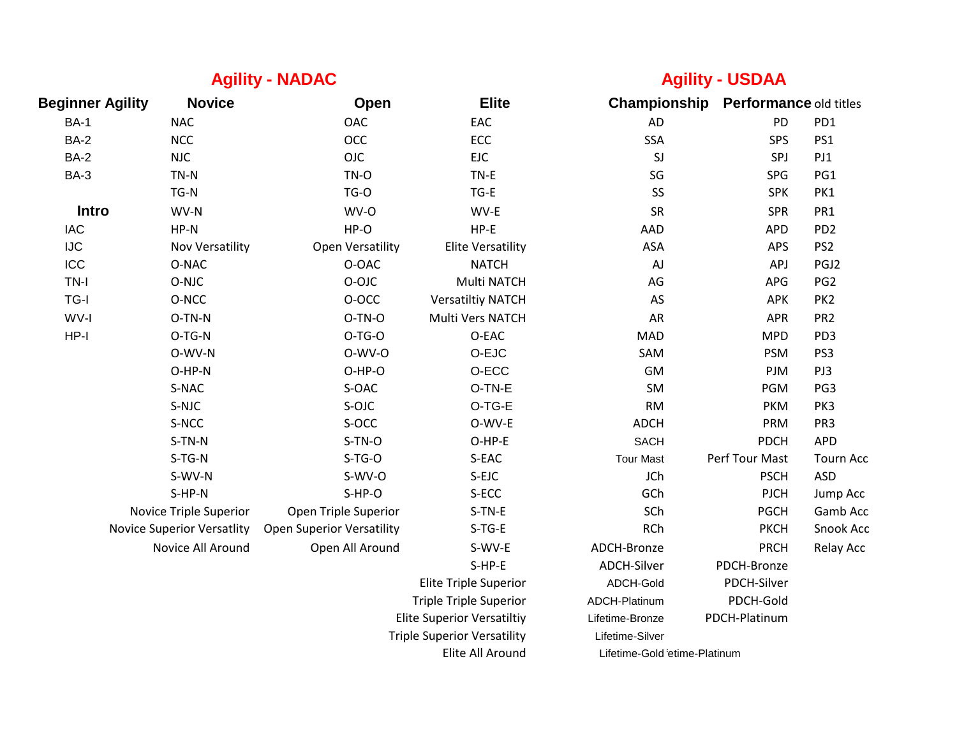## **Agility - NADAC Agility - NADAC Agility - USDAA**

| <b>Beginner Agility</b> | <b>Novice</b>                     | Open                             | <b>Elite</b>                       | Championship                 | <b>Performance old titles</b> |                  |
|-------------------------|-----------------------------------|----------------------------------|------------------------------------|------------------------------|-------------------------------|------------------|
| <b>BA-1</b>             | <b>NAC</b>                        | OAC                              | EAC                                | <b>AD</b>                    | PD                            | PD1              |
| <b>BA-2</b>             | <b>NCC</b>                        | OCC                              | ECC                                | <b>SSA</b>                   | SPS                           | PS1              |
| <b>BA-2</b>             | <b>NJC</b>                        | <b>OJC</b>                       | <b>EJC</b>                         | SJ                           | SPJ                           | PJ1              |
| <b>BA-3</b>             | TN-N                              | TN-O                             | TN-E                               | SG                           | SPG                           | PG1              |
|                         | TG-N                              | TG-O                             | $TG-E$                             | SS                           | <b>SPK</b>                    | PK1              |
| Intro                   | WV-N                              | WV-O                             | WV-E                               | <b>SR</b>                    | <b>SPR</b>                    | PR1              |
| <b>IAC</b>              | $HP-N$                            | HP-O                             | $HP-E$                             | AAD                          | <b>APD</b>                    | PD <sub>2</sub>  |
| <b>IJC</b>              | Nov Versatility                   | <b>Open Versatility</b>          | <b>Elite Versatility</b>           | ASA                          | APS                           | PS <sub>2</sub>  |
| ICC                     | O-NAC                             | O-OAC                            | <b>NATCH</b>                       | $\mathsf{A}\mathsf{J}$       | APJ                           | PGJ2             |
| TN-I                    | O-NJC                             | O-OJC                            | Multi NATCH                        | AG                           | APG                           | PG <sub>2</sub>  |
| TG-I                    | O-NCC                             | O-OCC                            | <b>Versatiltiy NATCH</b>           | AS                           | APK                           | PK <sub>2</sub>  |
| WV-I                    | O-TN-N                            | O-TN-O                           | Multi Vers NATCH                   | AR                           | <b>APR</b>                    | PR <sub>2</sub>  |
| $HP-I$                  | O-TG-N                            | $O-TG-O$                         | O-EAC                              | <b>MAD</b>                   | <b>MPD</b>                    | PD <sub>3</sub>  |
|                         | O-WV-N                            | O-WV-O                           | O-EJC                              | SAM                          | <b>PSM</b>                    | PS3              |
|                         | O-HP-N                            | O-HP-O                           | O-ECC                              | GM                           | PJM                           | PJ3              |
|                         | S-NAC                             | S-OAC                            | O-TN-E                             | SM                           | PGM                           | PG3              |
|                         | S-NJC                             | S-OJC                            | O-TG-E                             | <b>RM</b>                    | <b>PKM</b>                    | PK3              |
|                         | S-NCC                             | S-OCC                            | O-WV-E                             | <b>ADCH</b>                  | PRM                           | PR <sub>3</sub>  |
|                         | S-TN-N                            | S-TN-O                           | O-HP-E                             | <b>SACH</b>                  | <b>PDCH</b>                   | <b>APD</b>       |
|                         | S-TG-N                            | $S-TG-O$                         | S-EAC                              | <b>Tour Mast</b>             | Perf Tour Mast                | <b>Tourn Acc</b> |
|                         | S-WV-N                            | S-WV-O                           | S-EJC                              | JCh                          | <b>PSCH</b>                   | <b>ASD</b>       |
|                         | S-HP-N                            | S-HP-O                           | S-ECC                              | GCh                          | <b>PJCH</b>                   | Jump Acc         |
|                         | Novice Triple Superior            | Open Triple Superior             | S-TN-E                             | SCh                          | <b>PGCH</b>                   | Gamb Acc         |
|                         | <b>Novice Superior Versatlity</b> | <b>Open Superior Versatility</b> | $S-TG-E$                           | <b>RCh</b>                   | <b>PKCH</b>                   | Snook Acc        |
|                         | Novice All Around                 | Open All Around                  | S-WV-E                             | ADCH-Bronze                  | <b>PRCH</b>                   | Relay Acc        |
|                         |                                   |                                  | S-HP-E                             | <b>ADCH-Silver</b>           | PDCH-Bronze                   |                  |
|                         |                                   |                                  | <b>Elite Triple Superior</b>       | ADCH-Gold                    | PDCH-Silver                   |                  |
|                         |                                   |                                  | <b>Triple Triple Superior</b>      | ADCH-Platinum                | PDCH-Gold                     |                  |
|                         |                                   |                                  | <b>Elite Superior Versatiltiy</b>  | Lifetime-Bronze              | PDCH-Platinum                 |                  |
|                         |                                   |                                  | <b>Triple Superior Versatility</b> | Lifetime-Silver              |                               |                  |
|                         |                                   |                                  | Elite All Around                   | Lifetime-Gold etime-Platinum |                               |                  |